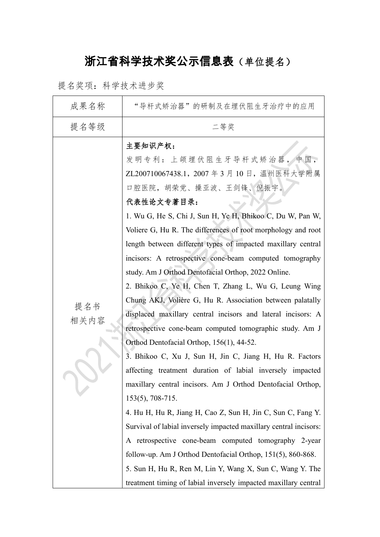## 浙江省科学技术奖公示信息表(单位提名)

提名奖项:科学技术进步奖

| 成果名称        | "导杆式矫治器"的研制及在埋伏阻生牙治疗中的应用                                          |
|-------------|-------------------------------------------------------------------|
| 提名等级        | 二等奖                                                               |
|             | 主要知识产权:                                                           |
|             | 发明专利: 上颌埋伏阻生牙导杆式矫治器, 中国,                                          |
|             | ZL200710067438.1, 2007年3月10日, 温州医科大学附属                            |
|             | 口腔医院, 胡荣党、操亚波、王剑锋、倪振宇。                                            |
|             | 代表性论文专著目录:                                                        |
|             | 1. Wu G, He S, Chi J, Sun H, Ye H, Bhikoo C, Du W, Pan W,         |
|             | Voliere G, Hu R. The differences of root morphology and root      |
|             | length between different types of impacted maxillary central      |
|             | incisors: A retrospective cone-beam computed tomography           |
| 提名书<br>相关内容 | study. Am J Orthod Dentofacial Orthop, 2022 Online.               |
|             | 2. Bhikoo C, Ye H, Chen T, Zhang L, Wu G, Leung Wing              |
|             | Chung AKJ, Volière G, Hu R. Association between palatally         |
|             | displaced maxillary central incisors and lateral incisors: A      |
|             | retrospective cone-beam computed tomographic study. Am J          |
|             | Orthod Dentofacial Orthop, 156(1), 44-52.                         |
|             | 3. Bhikoo C, Xu J, Sun H, Jin C, Jiang H, Hu R. Factors           |
|             | affecting treatment duration of labial inversely impacted         |
|             | maxillary central incisors. Am J Orthod Dentofacial Orthop,       |
|             | $153(5)$ , 708-715.                                               |
|             | 4. Hu H, Hu R, Jiang H, Cao Z, Sun H, Jin C, Sun C, Fang Y.       |
|             | Survival of labial inversely impacted maxillary central incisors: |
|             | A retrospective cone-beam computed tomography 2-year              |
|             | follow-up. Am J Orthod Dentofacial Orthop, 151(5), 860-868.       |
|             | 5. Sun H, Hu R, Ren M, Lin Y, Wang X, Sun C, Wang Y. The          |
|             | treatment timing of labial inversely impacted maxillary central   |